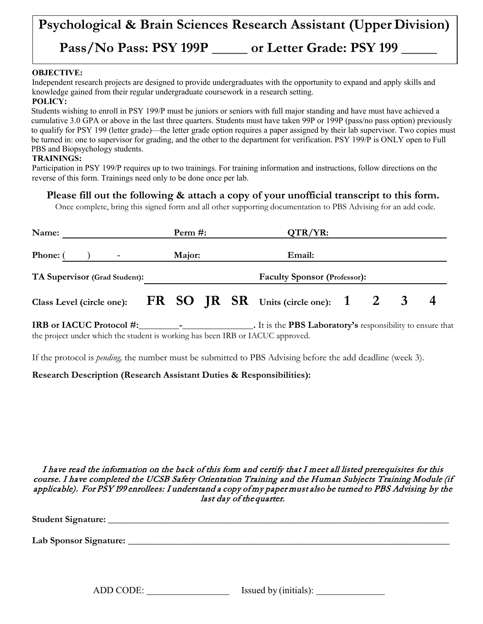# **Psychological & Brain Sciences Research Assistant (Upper Division) Pass/No Pass: PSY 199P \_\_\_\_\_ or Letter Grade: PSY 199 \_\_\_\_\_**

### **OBJECTIVE:**

Independent research projects are designed to provide undergraduates with the opportunity to expand and apply skills and knowledge gained from their regular undergraduate coursework in a research setting.

#### **POLICY:**

Students wishing to enroll in PSY 199/P must be juniors or seniors with full major standing and have must have achieved a cumulative 3.0 GPA or above in the last three quarters. Students must have taken 99P or 199P (pass/no pass option) previously to qualify for PSY 199 (letter grade)—the letter grade option requires a paper assigned by their lab supervisor. Two copies must be turned in: one to supervisor for grading, and the other to the department for verification. PSY 199/P is ONLY open to Full PBS and Biopsychology students.

#### **TRAININGS:**

Participation in PSY 199/P requires up to two trainings. For training information and instructions, follow directions on the reverse of this form. Trainings need only to be done once per lab.

**Please fill out the following & attach a copy of your unofficial transcript to this form.**

Once complete, bring this signed form and all other supporting documentation to PBS Advising for an add code.

| Name:                                                                      | Perm $#$ : |  |  | $QTR/YR$ :                          |        |  |  |              |  |
|----------------------------------------------------------------------------|------------|--|--|-------------------------------------|--------|--|--|--------------|--|
| Phone: (<br>$\overline{\phantom{0}}$                                       | Major:     |  |  |                                     | Email: |  |  |              |  |
| TA Supervisor (Grad Student):                                              |            |  |  | <b>Faculty Sponsor (Professor):</b> |        |  |  |              |  |
| Class Level (circle one): $\overline{FR}$ SO JR SR Units (circle one): 1 2 |            |  |  |                                     |        |  |  | $\mathbf{3}$ |  |

**IRB or IACUC Protocol #: - .** It is the **PBS Laboratory's** responsibility to ensure that the project under which the student is working has been IRB or IACUC approved.

If the protocol is *pending,* the number must be submitted to PBS Advising before the add deadline (week 3).

## **Research Description (Research Assistant Duties & Responsibilities):**

I have read the information on the back of this form and certify that I meet all listed prerequisites for this course. I have completed the UCSB Safety Orientation Training and the Human Subjects Training Module (if applicable). For PSY 199 enrollees: I understand a copy of my paper must also be turned to PBS Advising by the last day of the quarter.

**Student Signature:** \_\_\_\_\_\_\_\_\_\_\_\_\_\_\_\_\_\_\_\_\_\_\_\_\_\_\_\_\_\_\_\_\_\_\_\_\_\_\_\_\_\_\_\_\_\_\_\_\_\_\_\_\_\_\_\_\_\_\_\_\_\_\_\_\_\_\_\_\_\_\_\_

**Lab Sponsor Signature:** \_\_\_\_\_\_\_\_\_\_\_\_\_\_\_\_\_\_\_\_\_\_\_\_\_\_\_\_\_\_\_\_\_\_\_\_\_\_\_\_\_\_\_\_\_\_\_\_\_\_\_\_\_\_\_\_\_\_\_\_\_\_\_\_\_\_\_\_

ADD CODE: Issued by (initials):